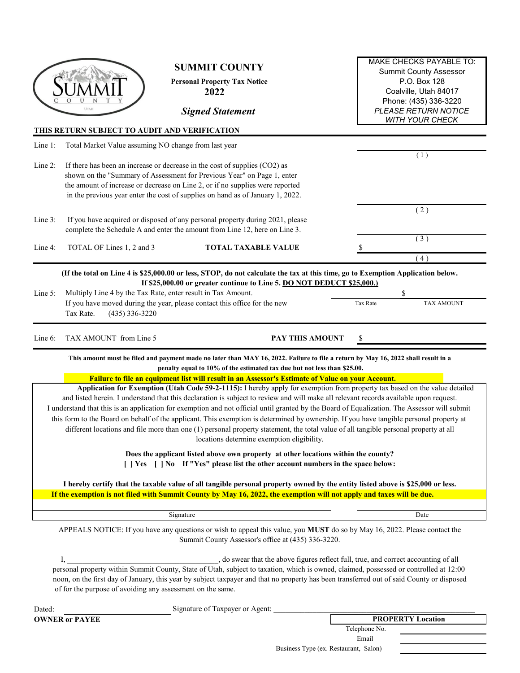|         | UTAH                                                                                                                                                                                                                                                                                                                                                                                                                                                                                                                                                                                                                                                                                                                                                                                                                                                                                                                             | <b>SUMMIT COUNTY</b><br><b>Personal Property Tax Notice</b><br>2022<br><b>Signed Statement</b><br>THIS RETURN SUBJECT TO AUDIT AND VERIFICATION                                                                                                                                                                                                                                                                                         | <b>MAKE CHECKS PAYABLE TO:</b><br><b>Summit County Assessor</b><br>P.O. Box 128<br>Coalville, Utah 84017<br>Phone: (435) 336-3220<br><b>PLEASE RETURN NOTICE</b><br><b>WITH YOUR CHECK</b> |  |  |  |  |
|---------|----------------------------------------------------------------------------------------------------------------------------------------------------------------------------------------------------------------------------------------------------------------------------------------------------------------------------------------------------------------------------------------------------------------------------------------------------------------------------------------------------------------------------------------------------------------------------------------------------------------------------------------------------------------------------------------------------------------------------------------------------------------------------------------------------------------------------------------------------------------------------------------------------------------------------------|-----------------------------------------------------------------------------------------------------------------------------------------------------------------------------------------------------------------------------------------------------------------------------------------------------------------------------------------------------------------------------------------------------------------------------------------|--------------------------------------------------------------------------------------------------------------------------------------------------------------------------------------------|--|--|--|--|
| Line 1: |                                                                                                                                                                                                                                                                                                                                                                                                                                                                                                                                                                                                                                                                                                                                                                                                                                                                                                                                  | Total Market Value assuming NO change from last year                                                                                                                                                                                                                                                                                                                                                                                    |                                                                                                                                                                                            |  |  |  |  |
| Line 2: | If there has been an increase or decrease in the cost of supplies (CO2) as<br>shown on the "Summary of Assessment for Previous Year" on Page 1, enter<br>the amount of increase or decrease on Line 2, or if no supplies were reported<br>in the previous year enter the cost of supplies on hand as of January 1, 2022.                                                                                                                                                                                                                                                                                                                                                                                                                                                                                                                                                                                                         | (1)                                                                                                                                                                                                                                                                                                                                                                                                                                     |                                                                                                                                                                                            |  |  |  |  |
| Line 3: |                                                                                                                                                                                                                                                                                                                                                                                                                                                                                                                                                                                                                                                                                                                                                                                                                                                                                                                                  | If you have acquired or disposed of any personal property during 2021, please<br>complete the Schedule A and enter the amount from Line 12, here on Line 3.                                                                                                                                                                                                                                                                             | (2)                                                                                                                                                                                        |  |  |  |  |
| Line 4: | TOTAL OF Lines 1, 2 and 3                                                                                                                                                                                                                                                                                                                                                                                                                                                                                                                                                                                                                                                                                                                                                                                                                                                                                                        | <b>TOTAL TAXABLE VALUE</b>                                                                                                                                                                                                                                                                                                                                                                                                              | (3)<br>(4)                                                                                                                                                                                 |  |  |  |  |
| Line 5: | $(435)$ 336-3220<br>Tax Rate.                                                                                                                                                                                                                                                                                                                                                                                                                                                                                                                                                                                                                                                                                                                                                                                                                                                                                                    | (If the total on Line 4 is \$25,000.00 or less, STOP, do not calculate the tax at this time, go to Exemption Application below.<br>If \$25,000.00 or greater continue to Line 5. DO NOT DEDUCT \$25,000.)<br>Multiply Line 4 by the Tax Rate, enter result in Tax Amount.<br>If you have moved during the year, please contact this office for the new                                                                                  | \$<br><b>TAX AMOUNT</b><br>Tax Rate                                                                                                                                                        |  |  |  |  |
| Line 6: | TAX AMOUNT from Line 5                                                                                                                                                                                                                                                                                                                                                                                                                                                                                                                                                                                                                                                                                                                                                                                                                                                                                                           | PAY THIS AMOUNT                                                                                                                                                                                                                                                                                                                                                                                                                         | \$                                                                                                                                                                                         |  |  |  |  |
|         |                                                                                                                                                                                                                                                                                                                                                                                                                                                                                                                                                                                                                                                                                                                                                                                                                                                                                                                                  | This amount must be filed and payment made no later than MAY 16, 2022. Failure to file a return by May 16, 2022 shall result in a<br>penalty equal to 10% of the estimated tax due but not less than \$25.00.<br>Failure to file an equipment list will result in an Assessor's Estimate of Value on your Account.                                                                                                                      |                                                                                                                                                                                            |  |  |  |  |
|         | Application for Exemption (Utah Code 59-2-1115): I hereby apply for exemption from property tax based on the value detailed<br>and listed herein. I understand that this declaration is subject to review and will make all relevant records available upon request.<br>I understand that this is an application for exemption and not official until granted by the Board of Equalization. The Assessor will submit<br>this form to the Board on behalf of the applicant. This exemption is determined by ownership. If you have tangible personal property at<br>different locations and file more than one (1) personal property statement, the total value of all tangible personal property at all<br>locations determine exemption eligibility.<br>Does the applicant listed above own property at other locations within the county?<br>[   Yes     No If "Yes" please list the other account numbers in the space below: |                                                                                                                                                                                                                                                                                                                                                                                                                                         |                                                                                                                                                                                            |  |  |  |  |
|         |                                                                                                                                                                                                                                                                                                                                                                                                                                                                                                                                                                                                                                                                                                                                                                                                                                                                                                                                  | I hereby certify that the taxable value of all tangible personal property owned by the entity listed above is \$25,000 or less.                                                                                                                                                                                                                                                                                                         |                                                                                                                                                                                            |  |  |  |  |
|         |                                                                                                                                                                                                                                                                                                                                                                                                                                                                                                                                                                                                                                                                                                                                                                                                                                                                                                                                  | If the exemption is not filed with Summit County by May 16, 2022, the exemption will not apply and taxes will be due.                                                                                                                                                                                                                                                                                                                   |                                                                                                                                                                                            |  |  |  |  |
|         |                                                                                                                                                                                                                                                                                                                                                                                                                                                                                                                                                                                                                                                                                                                                                                                                                                                                                                                                  | Signature                                                                                                                                                                                                                                                                                                                                                                                                                               | Date                                                                                                                                                                                       |  |  |  |  |
|         |                                                                                                                                                                                                                                                                                                                                                                                                                                                                                                                                                                                                                                                                                                                                                                                                                                                                                                                                  | APPEALS NOTICE: If you have any questions or wish to appeal this value, you MUST do so by May 16, 2022. Please contact the<br>Summit County Assessor's office at (435) 336-3220.                                                                                                                                                                                                                                                        |                                                                                                                                                                                            |  |  |  |  |
|         | Ι,                                                                                                                                                                                                                                                                                                                                                                                                                                                                                                                                                                                                                                                                                                                                                                                                                                                                                                                               | , do swear that the above figures reflect full, true, and correct accounting of all<br>personal property within Summit County, State of Utah, subject to taxation, which is owned, claimed, possessed or controlled at 12:00<br>noon, on the first day of January, this year by subject taxpayer and that no property has been transferred out of said County or disposed<br>of for the purpose of avoiding any assessment on the same. |                                                                                                                                                                                            |  |  |  |  |
| Dated:  |                                                                                                                                                                                                                                                                                                                                                                                                                                                                                                                                                                                                                                                                                                                                                                                                                                                                                                                                  | Signature of Taxpayer or Agent:                                                                                                                                                                                                                                                                                                                                                                                                         |                                                                                                                                                                                            |  |  |  |  |
|         | <b>OWNER or PAYEE</b>                                                                                                                                                                                                                                                                                                                                                                                                                                                                                                                                                                                                                                                                                                                                                                                                                                                                                                            |                                                                                                                                                                                                                                                                                                                                                                                                                                         | <b>PROPERTY Location</b><br>Telephone No.                                                                                                                                                  |  |  |  |  |

Business Type (ex. Restaurant, Salon)

Email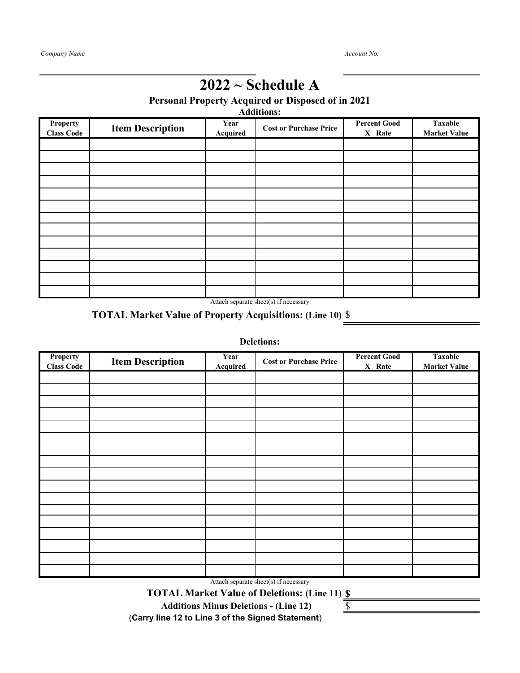### **2022 ~ Schedule A**

**Personal Property Acquired or Disposed of in 2021**

**Additions:**

| <b>Property</b><br><b>Class Code</b> | <b>Item Description</b> | Year<br><b>Acquired</b> | <b>Cost or Purchase Price</b> | <b>Percent Good</b><br>X Rate | <b>Taxable</b><br><b>Market Value</b> |
|--------------------------------------|-------------------------|-------------------------|-------------------------------|-------------------------------|---------------------------------------|
|                                      |                         |                         |                               |                               |                                       |
|                                      |                         |                         |                               |                               |                                       |
|                                      |                         |                         |                               |                               |                                       |
|                                      |                         |                         |                               |                               |                                       |
|                                      |                         |                         |                               |                               |                                       |
|                                      |                         |                         |                               |                               |                                       |
|                                      |                         |                         |                               |                               |                                       |
|                                      |                         |                         |                               |                               |                                       |
|                                      |                         |                         |                               |                               |                                       |
|                                      |                         |                         |                               |                               |                                       |
|                                      |                         |                         |                               |                               |                                       |
|                                      |                         |                         |                               |                               |                                       |
|                                      |                         | $\cdots$                | $\sqrt{2}$                    |                               |                                       |

Attach separate sheet(s) if necessary

#### **TOTAL Market Value of Property Acquisitions: (Line 10)** \$

#### **Deletions:**

| Property<br><b>Class Code</b> | <b>Item Description</b> | Year<br>Acquired | <b>Cost or Purchase Price</b> | <b>Percent Good</b><br>X Rate | <b>Taxable</b><br><b>Market Value</b> |
|-------------------------------|-------------------------|------------------|-------------------------------|-------------------------------|---------------------------------------|
|                               |                         |                  |                               |                               |                                       |
|                               |                         |                  |                               |                               |                                       |
|                               |                         |                  |                               |                               |                                       |
|                               |                         |                  |                               |                               |                                       |
|                               |                         |                  |                               |                               |                                       |
|                               |                         |                  |                               |                               |                                       |
|                               |                         |                  |                               |                               |                                       |
|                               |                         |                  |                               |                               |                                       |
|                               |                         |                  |                               |                               |                                       |
|                               |                         |                  |                               |                               |                                       |
|                               |                         |                  |                               |                               |                                       |
|                               |                         |                  |                               |                               |                                       |
|                               |                         |                  |                               |                               |                                       |
|                               |                         |                  |                               |                               |                                       |
|                               |                         |                  |                               |                               |                                       |
|                               |                         |                  |                               |                               |                                       |
|                               |                         |                  |                               |                               |                                       |

Attach separate sheet(s) if necessary

**\$ TOTAL Market Value of Deletions: (Line 11**)

 **Additions Minus Deletions - (Line 12)** 

(**Carry line 12 to Line 3 of the Signed Statement**)

\$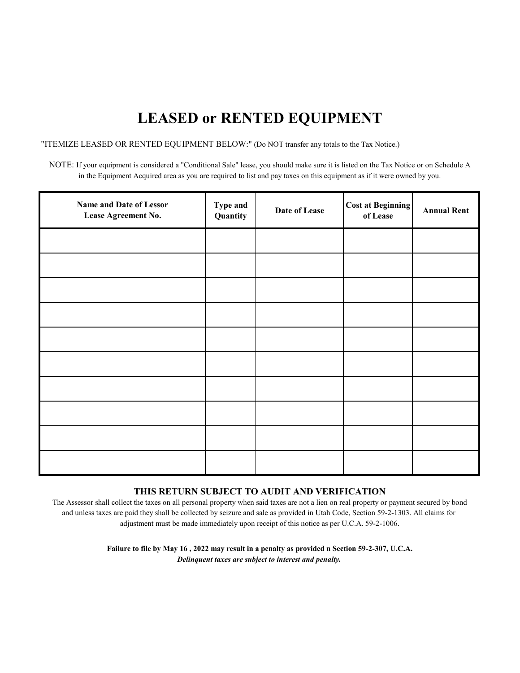## **LEASED or RENTED EQUIPMENT**

"ITEMIZE LEASED OR RENTED EQUIPMENT BELOW:" (Do NOT transfer any totals to the Tax Notice.)

NOTE: If your equipment is considered a "Conditional Sale" lease, you should make sure it is listed on the Tax Notice or on Schedule A in the Equipment Acquired area as you are required to list and pay taxes on this equipment as if it were owned by you.

| Name and Date of Lessor<br>Lease Agreement No. | Type and<br>Quantity | Date of Lease | <b>Cost at Beginning</b><br>of Lease | <b>Annual Rent</b> |
|------------------------------------------------|----------------------|---------------|--------------------------------------|--------------------|
|                                                |                      |               |                                      |                    |
|                                                |                      |               |                                      |                    |
|                                                |                      |               |                                      |                    |
|                                                |                      |               |                                      |                    |
|                                                |                      |               |                                      |                    |
|                                                |                      |               |                                      |                    |
|                                                |                      |               |                                      |                    |
|                                                |                      |               |                                      |                    |
|                                                |                      |               |                                      |                    |
|                                                |                      |               |                                      |                    |

#### **THIS RETURN SUBJECT TO AUDIT AND VERIFICATION**

The Assessor shall collect the taxes on all personal property when said taxes are not a lien on real property or payment secured by bond and unless taxes are paid they shall be collected by seizure and sale as provided in Utah Code, Section 59-2-1303. All claims for adjustment must be made immediately upon receipt of this notice as per U.C.A. 59-2-1006.

> *Delinquent taxes are subject to interest and penalty.* **Failure to file by May 16 , 2022 may result in a penalty as provided n Section 59-2-307, U.C.A.**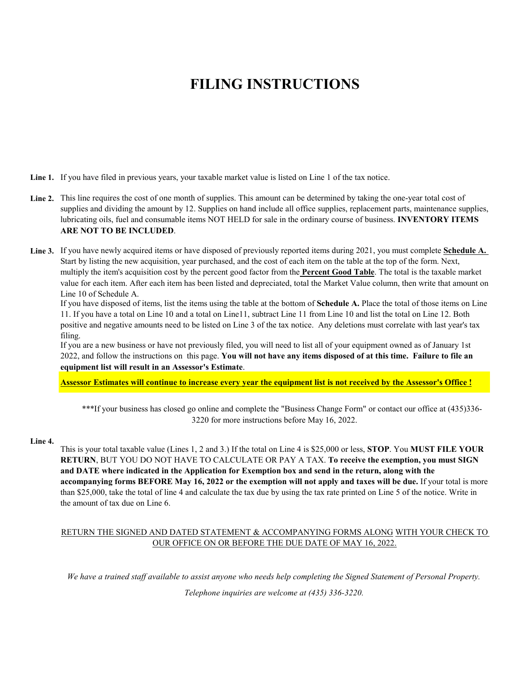### **FILING INSTRUCTIONS**

Line 1. If you have filed in previous years, your taxable market value is listed on Line 1 of the tax notice.

- Line 2. This line requires the cost of one month of supplies. This amount can be determined by taking the one-year total cost of supplies and dividing the amount by 12. Supplies on hand include all office supplies, replacement parts, maintenance supplies, lubricating oils, fuel and consumable items NOT HELD for sale in the ordinary course of business. **INVENTORY ITEMS ARE NOT TO BE INCLUDED**.
- **Line 3.** If you have newly acquired items or have disposed of previously reported items during 2021, you must complete **Schedule A.**  Start by listing the new acquisition, year purchased, and the cost of each item on the table at the top of the form. Next, multiply the item's acquisition cost by the percent good factor from the **Percent Good Table**. The total is the taxable market value for each item. After each item has been listed and depreciated, total the Market Value column, then write that amount on Line 10 of Schedule A.

If you have disposed of items, list the items using the table at the bottom of **Schedule A.** Place the total of those items on Line 11. If you have a total on Line 10 and a total on Line11, subtract Line 11 from Line 10 and list the total on Line 12. Both positive and negative amounts need to be listed on Line 3 of the tax notice. Any deletions must correlate with last year's tax filing.

If you are a new business or have not previously filed, you will need to list all of your equipment owned as of January 1st 2022, and follow the instructions on this page. **You will not have any items disposed of at this time. Failure to file an equipment list will result in an Assessor's Estimate**.

**Assessor Estimates will continue to increase every year the equipment list is not received by the Assessor's Office !**

\*\*\*If your business has closed go online and complete the "Business Change Form" or contact our office at (435)336-3220 for more instructions before May 16, 2022.

#### **Line 4.**

This is your total taxable value (Lines 1, 2 and 3.) If the total on Line 4 is \$25,000 or less, **STOP**. You **MUST FILE YOUR RETURN**, BUT YOU DO NOT HAVE TO CALCULATE OR PAY A TAX. **To receive the exemption, you must SIGN and DATE where indicated in the Application for Exemption box and send in the return, along with the accompanying forms BEFORE May 16, 2022 or the exemption will not apply and taxes will be due.** If your total is more than \$25,000, take the total of line 4 and calculate the tax due by using the tax rate printed on Line 5 of the notice. Write in the amount of tax due on Line 6.

#### RETURN THE SIGNED AND DATED STATEMENT & ACCOMPANYING FORMS ALONG WITH YOUR CHECK TO OUR OFFICE ON OR BEFORE THE DUE DATE OF MAY 16, 2022.

*We have a trained staff available to assist anyone who needs help completing the Signed Statement of Personal Property.*

*Telephone inquiries are welcome at (435) 336-3220.*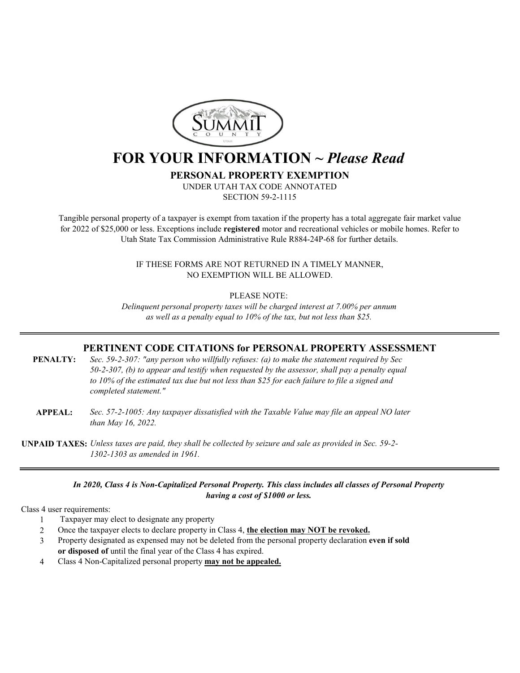

### **FOR YOUR INFORMATION ~** *Please Read*

**PERSONAL PROPERTY EXEMPTION**

UNDER UTAH TAX CODE ANNOTATED SECTION 59-2-1115

for 2022 of \$25,000 or less. Exceptions include **registered** motor and recreational vehicles or mobile homes. Refer to Utah State Tax Commission Administrative Rule R884-24P-68 for further details. Tangible personal property of a taxpayer is exempt from taxation if the property has a total aggregate fair market value

> IF THESE FORMS ARE NOT RETURNED IN A TIMELY MANNER, NO EXEMPTION WILL BE ALLOWED.

> > PLEASE NOTE:

*as well as a penalty equal to 10% of the tax, but not less than \$25. Delinquent personal property taxes will be charged interest at 7.00% per annum*

#### **PERTINENT CODE CITATIONS for PERSONAL PROPERTY ASSESSMENT**

- *50-2-307, (b) to appear and testify when requested by the assessor, shall pay a penalty equal to 10% of the estimated tax due but not less than \$25 for each failure to file a signed and completed statement."* **PENALTY:** *Sec. 59-2-307: "any person who willfully refuses: (a) to make the statement required by Sec*
- *than May 16, 2022.* **APPEAL:** *Sec. 57-2-1005: Any taxpayer dissatisfied with the Taxable Value may file an appeal NO later*
- **UNPAID TAXES:** *Unless taxes are paid, they shall be collected by seizure and sale as provided in Sec. 59-2- 1302-1303 as amended in 1961.*

#### *In 2020, Class 4 is Non-Capitalized Personal Property. This class includes all classes of Personal Property having a cost of \$1000 or less.*

Class 4 user requirements:

- 1 Taxpayer may elect to designate any property
- 2 Once the taxpayer elects to declare property in Class 4, **the election may NOT be revoked.**
- 3 Property designated as expensed may not be deleted from the personal property declaration **even if sold or disposed of** until the final year of the Class 4 has expired.
- 4 Class 4 Non-Capitalized personal property **may not be appealed.**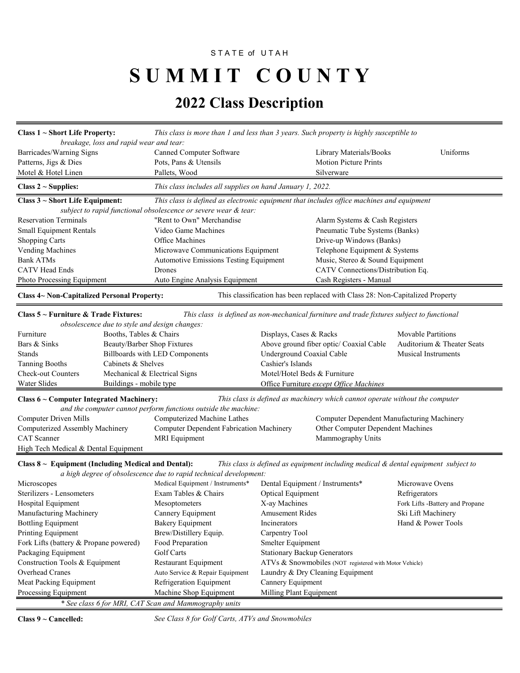#### STATE of UTAH

# S U M M I T C O U N T Y

### **2022 Class Description**

| Class $1 \sim$ Short Life Property:<br>This class is more than 1 and less than 3 years. Such property is highly susceptible to |                                                                                           |                                   |                 |  |  |
|--------------------------------------------------------------------------------------------------------------------------------|-------------------------------------------------------------------------------------------|-----------------------------------|-----------------|--|--|
| breakage, loss and rapid wear and tear:                                                                                        |                                                                                           |                                   |                 |  |  |
| Barricades/Warning Signs                                                                                                       | Canned Computer Software                                                                  | Library Materials/Books           | <b>Uniforms</b> |  |  |
| Patterns, Jigs & Dies                                                                                                          | Pots, Pans & Utensils                                                                     | <b>Motion Picture Prints</b>      |                 |  |  |
| Motel & Hotel Linen                                                                                                            | Pallets, Wood                                                                             | Silverware                        |                 |  |  |
| This class includes all supplies on hand January 1, 2022.<br>Class $2 \sim$ Supplies:                                          |                                                                                           |                                   |                 |  |  |
| Class $3 \sim$ Short Life Equipment:                                                                                           | This class is defined as electronic equipment that includes office machines and equipment |                                   |                 |  |  |
|                                                                                                                                | subject to rapid functional obsolescence or severe wear & tear:                           |                                   |                 |  |  |
| <b>Reservation Terminals</b>                                                                                                   | "Rent to Own" Merchandise                                                                 | Alarm Systems & Cash Registers    |                 |  |  |
| <b>Small Equipment Rentals</b>                                                                                                 | Video Game Machines                                                                       | Pneumatic Tube Systems (Banks)    |                 |  |  |
| <b>Shopping Carts</b>                                                                                                          | Office Machines                                                                           | Drive-up Windows (Banks)          |                 |  |  |
| Vending Machines                                                                                                               | Microwave Communications Equipment                                                        | Telephone Equipment & Systems     |                 |  |  |
| Bank ATMs                                                                                                                      | <b>Automotive Emissions Testing Equipment</b>                                             | Music, Stereo & Sound Equipment   |                 |  |  |
| <b>CATV</b> Head Ends                                                                                                          | <b>Drones</b>                                                                             | CATV Connections/Distribution Eq. |                 |  |  |
| Photo Processing Equipment                                                                                                     | Auto Engine Analysis Equipment                                                            | Cash Registers - Manual           |                 |  |  |
| This classification has been replaced with Class 28: Non-Capitalized Property<br>Class 4~ Non-Capitalized Personal Property:   |                                                                                           |                                   |                 |  |  |

#### **Class 5 ~ Furniture & Trade Fixtures:** *This class is defined as non-mechanical furniture and trade fixtures subject to functional obsolescence due to style and design changes:* Furniture Booths, Tables & Chairs Displays, Cases & Racks Movable Partitions Bars & Sinks Beauty/Barber Shop Fixtures Above ground fiber optic/ Coaxial Cable Auditorium & Theater Seats Stands Billboards with LED Components Underground Coaxial Cable Musical Instruments Tanning Booths Cabinets & Shelves Cashier's Islands Check-out Counters Mechanical & Electrical Signs Motel/Hotel Beds & Furniture Water Slides Buildings - mobile type Office Furniture *except Office Machines*

**Class 6 ~ Computer Integrated Machinery:** *This class is defined as machinery which cannot operate without the computer*

*and the computer cannot perform functions outside the machine:*

| Computer Driven Mills                | Computerized Machine Lathes              | Computer Dependent Manufacturing Machinery |
|--------------------------------------|------------------------------------------|--------------------------------------------|
| Computerized Assembly Machinery      | Computer Dependent Fabrication Machinery | <b>Other Computer Dependent Machines</b>   |
| CAT Scanner                          | MRI Equipment                            | Mammography Units                          |
| High Tech Medical & Dental Equipment |                                          |                                            |

**Class 8 ~ Equipment (Including Medical and Dental):** *This class is defined as equipment including medical & dental equipment subject to a high degree of obsolescence due to rapid technical development:*

| a nigh acgree of obsolescence and to ruphy technical acvetopment. |                                  |                                                        |                                 |  |  |  |
|-------------------------------------------------------------------|----------------------------------|--------------------------------------------------------|---------------------------------|--|--|--|
| Microscopes                                                       | Medical Equipment / Instruments* | Dental Equipment / Instruments*                        | Microwaye Ovens                 |  |  |  |
| Sterilizers - Lensometers                                         | Exam Tables & Chairs             | Optical Equipment                                      | Refrigerators                   |  |  |  |
| Hospital Equipment                                                | <b>Mesoptometers</b>             | X-ay Machines                                          | Fork Lifts -Battery and Propane |  |  |  |
| Manufacturing Machinery                                           | Cannery Equipment                | Amusement Rides                                        | Ski Lift Machinery              |  |  |  |
| <b>Bottling Equipment</b>                                         | Bakery Equipment                 | Incinerators                                           | Hand & Power Tools              |  |  |  |
| <b>Printing Equipment</b>                                         | Brew/Distillery Equip.           | Carpentry Tool                                         |                                 |  |  |  |
| Fork Lifts (battery & Propane powered)                            | Food Preparation                 | Smelter Equipment                                      |                                 |  |  |  |
| Packaging Equipment                                               | Golf Carts                       | <b>Stationary Backup Generators</b>                    |                                 |  |  |  |
| Construction Tools & Equipment                                    | Restaurant Equipment             | ATVs & Snowmobiles (NOT registered with Motor Vehicle) |                                 |  |  |  |
| Overhead Cranes                                                   | Auto Service & Repair Equipment  | Laundry & Dry Cleaning Equipment                       |                                 |  |  |  |
| Meat Packing Equipment                                            | Refrigeration Equipment          | Cannery Equipment                                      |                                 |  |  |  |
| Processing Equipment                                              | Machine Shop Equipment           | Milling Plant Equipment                                |                                 |  |  |  |
| * See class 6 for MRI, CAT Scan and Mammography units             |                                  |                                                        |                                 |  |  |  |

**Class 9 ~ Cancelled:** *See Class 8 for Golf Carts, ATVs and Snowmobiles*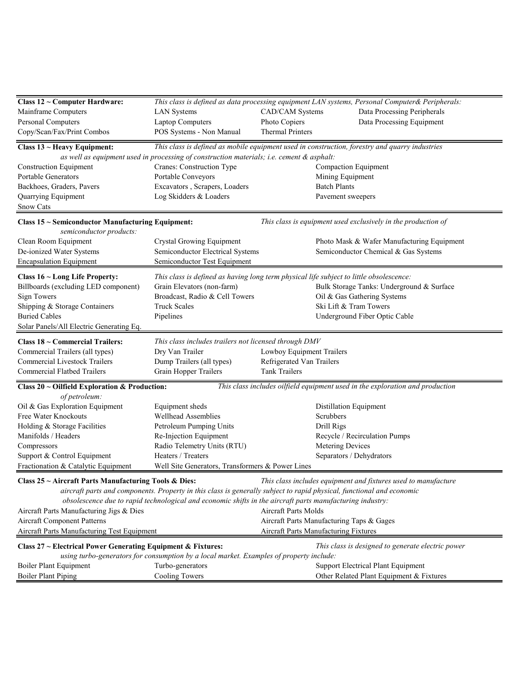| Class 12 ~ Computer Hardware:                                |                                                                                                                       |                                           | This class is defined as data processing equipment LAN systems, Personal Computer& Peripherals: |
|--------------------------------------------------------------|-----------------------------------------------------------------------------------------------------------------------|-------------------------------------------|-------------------------------------------------------------------------------------------------|
| Mainframe Computers                                          | <b>LAN</b> Systems                                                                                                    | CAD/CAM Systems                           | Data Processing Peripherals                                                                     |
| <b>Personal Computers</b>                                    | <b>Laptop Computers</b>                                                                                               | Photo Copiers                             | Data Processing Equipment                                                                       |
| Copy/Scan/Fax/Print Combos                                   | POS Systems - Non Manual                                                                                              | <b>Thermal Printers</b>                   |                                                                                                 |
|                                                              |                                                                                                                       |                                           |                                                                                                 |
| Class $13$ ~ Heavy Equipment:                                | This class is defined as mobile equipment used in construction, forestry and quarry industries                        |                                           |                                                                                                 |
|                                                              | as well as equipment used in processing of construction materials; i.e. cement & asphalt:                             |                                           |                                                                                                 |
| <b>Construction Equipment</b><br><b>Portable Generators</b>  | Cranes: Construction Type<br>Portable Conveyors                                                                       |                                           | Compaction Equipment                                                                            |
|                                                              |                                                                                                                       | Mining Equipment<br><b>Batch Plants</b>   |                                                                                                 |
| Backhoes, Graders, Pavers                                    | Excavators, Scrapers, Loaders<br>Log Skidders & Loaders                                                               |                                           |                                                                                                 |
| Quarrying Equipment<br><b>Snow Cats</b>                      |                                                                                                                       | Pavement sweepers                         |                                                                                                 |
| Class 15 ~ Semiconductor Manufacturing Equipment:            |                                                                                                                       |                                           | This class is equipment used exclusively in the production of                                   |
| semiconductor products:                                      |                                                                                                                       |                                           |                                                                                                 |
| Clean Room Equipment                                         | Crystal Growing Equipment                                                                                             |                                           | Photo Mask & Wafer Manufacturing Equipment                                                      |
| De-ionized Water Systems<br><b>Encapsulation Equipment</b>   | Semiconductor Electrical Systems<br>Semiconductor Test Equipment                                                      |                                           | Semiconductor Chemical & Gas Systems                                                            |
|                                                              |                                                                                                                       |                                           |                                                                                                 |
| Class $16$ ~ Long Life Property:                             | This class is defined as having long term physical life subject to little obsolescence:                               |                                           |                                                                                                 |
| Billboards (excluding LED component)                         | Grain Elevators (non-farm)                                                                                            |                                           | Bulk Storage Tanks: Underground & Surface                                                       |
| Sign Towers                                                  | Broadcast, Radio & Cell Towers                                                                                        |                                           | Oil & Gas Gathering Systems                                                                     |
| Shipping & Storage Containers                                | <b>Truck Scales</b>                                                                                                   |                                           | Ski Lift & Tram Towers                                                                          |
| <b>Buried Cables</b>                                         | Pipelines                                                                                                             |                                           | Underground Fiber Optic Cable                                                                   |
| Solar Panels/All Electric Generating Eq.                     |                                                                                                                       |                                           |                                                                                                 |
| Class 18 ~ Commercial Trailers:                              | This class includes trailers not licensed through DMV                                                                 |                                           |                                                                                                 |
| Commercial Trailers (all types)                              | Dry Van Trailer                                                                                                       | Lowboy Equipment Trailers                 |                                                                                                 |
| <b>Commercial Livestock Trailers</b>                         | Dump Trailers (all types)                                                                                             | Refrigerated Van Trailers                 |                                                                                                 |
| <b>Commercial Flatbed Trailers</b>                           | Grain Hopper Trailers                                                                                                 | <b>Tank Trailers</b>                      |                                                                                                 |
| Class $20 \sim$ Oilfield Exploration & Production:           |                                                                                                                       |                                           | This class includes oilfield equipment used in the exploration and production                   |
| of petroleum:                                                |                                                                                                                       |                                           |                                                                                                 |
| Oil & Gas Exploration Equipment                              | Equipment sheds                                                                                                       |                                           | Distillation Equipment                                                                          |
| Free Water Knockouts                                         | Wellhead Assemblies                                                                                                   | Scrubbers                                 |                                                                                                 |
| Holding & Storage Facilities                                 | Petroleum Pumping Units                                                                                               | Drill Rigs                                |                                                                                                 |
| Manifolds / Headers                                          | Re-Injection Equipment                                                                                                |                                           | Recycle / Recirculation Pumps                                                                   |
| Compressors                                                  | Radio Telemetry Units (RTU)                                                                                           | Metering Devices                          |                                                                                                 |
| Support & Control Equipment                                  | Heaters / Treaters                                                                                                    |                                           | Separators / Dehydrators                                                                        |
| Fractionation & Catalytic Equipment                          | Well Site Generators, Transformers & Power Lines                                                                      |                                           |                                                                                                 |
| Class 25 ~ Aircraft Parts Manufacturing Tools & Dies:        |                                                                                                                       |                                           | This class includes equipment and fixtures used to manufacture                                  |
|                                                              | aircraft parts and components. Property in this class is generally subject to rapid physical, functional and economic |                                           |                                                                                                 |
|                                                              | obsolescence due to rapid technological and economic shifts in the aircraft parts manufacturing industry:             |                                           |                                                                                                 |
| Aircraft Parts Manufacturing Jigs & Dies                     |                                                                                                                       | <b>Aircraft Parts Molds</b>               |                                                                                                 |
| Aircraft Component Patterns                                  |                                                                                                                       | Aircraft Parts Manufacturing Taps & Gages |                                                                                                 |
| Aircraft Parts Manufacturing Test Equipment                  |                                                                                                                       | Aircraft Parts Manufacturing Fixtures     |                                                                                                 |
| Class 27 ~ Electrical Power Generating Equipment & Fixtures: |                                                                                                                       |                                           | This class is designed to generate electric power                                               |
|                                                              | using turbo-generators for consumption by a local market. Examples of property include:                               |                                           |                                                                                                 |
| Boiler Plant Equipment                                       | Turbo-generators                                                                                                      |                                           | Support Electrical Plant Equipment                                                              |
| <b>Boiler Plant Piping</b>                                   | <b>Cooling Towers</b>                                                                                                 |                                           | Other Related Plant Equipment & Fixtures                                                        |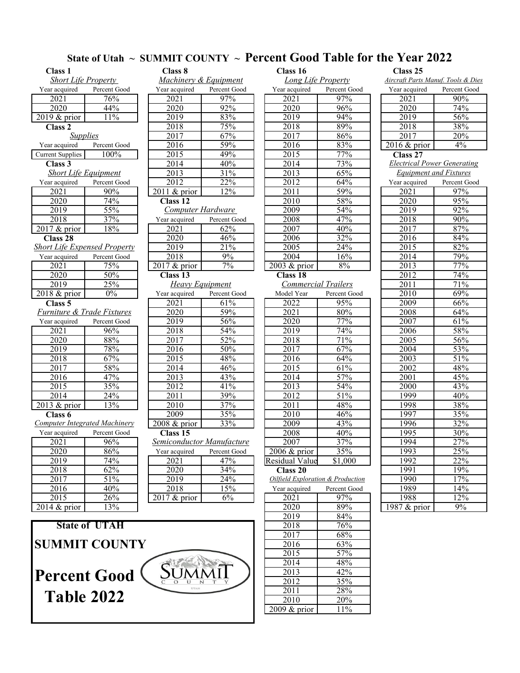# State of Utah ~ SUMMIT COUNTY ~ **Percent Good Table for the Year 2022**<br>Class 8 Class 16 Class 25

| <b>Class 1</b>              |                                       | Class 8<br>Class 16 |                                  |  |                            | Class 25           |                       |
|-----------------------------|---------------------------------------|---------------------|----------------------------------|--|----------------------------|--------------------|-----------------------|
| <b>Short Life Property</b>  |                                       |                     | Machinery & Equipment            |  |                            | Long Life Property | <b>Aircraft Parts</b> |
| Year acquired               | Percent Good                          | Year acquired       | Percent Good                     |  | Year acquired              | Percent Good       | Year acquire          |
| 2021                        | 76%                                   | 2021                | 97%                              |  | 2021                       | 97%                | 2021                  |
| 2020                        | 44%                                   | 2020                | 92%                              |  | 2020                       | 96%                | 2020                  |
| $2019$ & prior              | 11%                                   | 2019                | 83%                              |  | 2019                       | 94%                | 2019                  |
| Class 2                     |                                       | 2018                | 75%                              |  | 2018                       | 89%                | 2018                  |
|                             | <b>Supplies</b>                       | 2017                | 67%                              |  | 2017                       | 86%                | 2017                  |
| Year acquired               | Percent Good                          | 2016                | 59%                              |  | 2016                       | 83%                | 2016 & pri            |
| <b>Current Supplies</b>     | 100%                                  | 2015                | 49%                              |  | 2015                       | 77%                | Class 27              |
| Class 3                     |                                       | 2014                | 40%                              |  | 2014                       | 73%                | Electrical            |
| <b>Short Life Equipment</b> |                                       | 2013                | 31%                              |  | 2013                       | 65%                | <b>Equipme</b>        |
| Year acquired               | Percent Good                          | 2012                | 22%                              |  | 2012                       | 64%                | Year acquire          |
| 2021                        | 90%                                   | 2011 & prior        | 12%                              |  | 2011                       | 59%                | 2021                  |
| 2020                        | 74%                                   | Class <sub>12</sub> |                                  |  | 2010                       | 58%                | 2020                  |
| 2019                        | 55%                                   | Computer Hardware   |                                  |  | 2009                       | 54%                | 2019                  |
| 2018                        | 37%                                   | Year acquired       | Percent Good                     |  | 2008                       | 47%                | 2018                  |
| $2017$ & prior              | 18%                                   | 2021                | 62%                              |  | 2007                       | 40%                | 2017                  |
| Class $28$                  |                                       | 2020                | 46%                              |  | 2006                       | 32%                | 2016                  |
|                             | <b>Short Life Expensed Property</b>   | 2019                | 21%                              |  | 2005                       | 24%                | 2015                  |
| Year acquired               | Percent Good                          | 2018                | 9%                               |  | 2004                       | 16%                | 2014                  |
| 2021                        | 75%                                   | 2017 & prior        | 7%                               |  | 2003 & prior               | 8%                 | 2013                  |
| 2020                        | 50%                                   | Class <sub>13</sub> |                                  |  | <b>Class 18</b>            |                    | 2012                  |
| 2019                        | 25%                                   |                     | <b>Heavy Equipment</b>           |  | <b>Commercial Trailers</b> | 2011               |                       |
| 2018 & prior                | $0\%$                                 | Year acquired       | Percent Good                     |  | Model Year                 | Percent Good       | 2010                  |
| Class <sub>5</sub>          |                                       | 2021                | $61\%$                           |  | 2022                       | 95%                | 2009                  |
|                             | <b>Furniture &amp; Trade Fixtures</b> | 2020                | 59%                              |  | 2021                       | 80%                | 2008                  |
| Year acquired               | Percent Good                          | 2019                | 56%                              |  | 2020                       | 77%                | 2007                  |
| 2021                        | 96%                                   | 2018                | 54%                              |  | 2019                       | 74%                | 2006                  |
| 2020                        | 88%                                   | 2017                | 52%                              |  | 2018                       | 71%                | 2005                  |
| 2019                        | 78%                                   | 2016                | 50%                              |  | 2017                       | 67%                | $\overline{2004}$     |
| 2018                        | 67%                                   | 2015                | 48%                              |  | 2016                       | 64%                | 2003                  |
| 2017                        | 58%                                   | 2014                | 46%                              |  | 2015                       | 61%                | 2002                  |
| 2016                        | 47%                                   | 2013                | 43%                              |  | 2014                       | 57%                | 2001                  |
| 2015                        | 35%                                   | 2012                | 41%                              |  | 2013                       | 54%                | 2000                  |
| 2014                        | 24%                                   | 2011                | 39%                              |  | 2012                       | 51%                | 1999                  |
| 2013 & prior                | 13%                                   | 2010                | 37%                              |  | 2011                       | 48%                | 1998                  |
| Class 6                     |                                       | 2009                | 35%                              |  | 2010                       | 46%                | 1997                  |
|                             | <b>Computer Integrated Machinery</b>  | 2008 & prior        | 33%                              |  | 2009                       | 43%                | 1996                  |
| Year acquired               | Percent Good                          | Class <sub>15</sub> |                                  |  | 2008                       | 40%                | 1995                  |
| 2021                        | 96%                                   |                     | <b>Semiconductor Manufacture</b> |  | 2007                       | 37%                | 1994                  |

| 2021                                  | 75%                                  | $\overline{2017}$ & prior | 7%           | 2003 & prior                      | 8%           | 2013 | 77% |
|---------------------------------------|--------------------------------------|---------------------------|--------------|-----------------------------------|--------------|------|-----|
| 2020                                  | 50%                                  | Class 13                  |              | Class 18                          |              | 2012 | 74% |
| 2019                                  | 25%                                  | <b>Heavy Equipment</b>    |              | Commercial Trailers               |              | 2011 | 71% |
| $2018 \&$ prior                       | $0\%$                                | Year acquired             | Percent Good | Model Year                        | Percent Good | 2010 | 69% |
| Class 5                               |                                      | 2021                      | 61%          | 2022                              | 95%          | 2009 | 66% |
| <b>Furniture &amp; Trade Fixtures</b> |                                      | 2020                      | 59%          | 2021                              | 80%          | 2008 | 64% |
| Year acquired                         | Percent Good                         | 2019                      | 56%          | 2020                              | 77%          | 2007 | 61% |
| 2021                                  | 96%                                  | 2018                      | 54%          | 2019                              | 74%          | 2006 | 58% |
| 2020                                  | 88%                                  | 2017                      | 52%          | 2018                              | 71%          | 2005 | 56% |
| 2019                                  | 78%                                  | 2016                      | 50%          | 2017                              | 67%          | 2004 | 53% |
| 2018                                  | 67%                                  | 2015                      | 48%          | 2016                              | 64%          | 2003 | 51% |
| 2017                                  | 58%                                  | 2014                      | 46%          | 2015                              | 61%          | 2002 | 48% |
| 2016                                  | 47%                                  | 2013                      | 43%          | 2014                              | 57%          | 2001 | 45% |
| 2015                                  | 35%                                  | 2012                      | 41%          | 2013                              | 54%          | 2000 | 43% |
| 2014                                  | 24%                                  | 2011                      | 39%          | 2012                              | 51%          | 1999 | 40% |
| $2013 \&$ prior                       | 13%                                  | 2010                      | 37%          | 2011                              | 48%          | 1998 | 38% |
| Class 6                               |                                      | 2009                      | 35%          | 2010                              | 46%          | 1997 | 35% |
|                                       | <b>Computer Integrated Machinery</b> | $2008 \&$ prior           | 33%          | 2009                              | 43%          | 1996 | 32% |
| Year acquired                         | Percent Good                         | Class 15                  |              | 2008                              | 40%          | 1995 | 30% |
| 2021                                  | 96%                                  | Semiconductor Manufacture |              | 2007                              | 37%          | 1994 | 27% |
| 2020                                  | 86%                                  | Year acquired             | Percent Good | $2006 \&$ prior                   | 35%          | 1993 | 25% |
| 2019                                  | 74%                                  | 2021                      | 47%          | Residual Value                    | \$1,000      | 1992 | 22% |
| 2018                                  | 62%                                  | 2020                      | 34%          | Class 20                          |              | 1991 | 19% |
| 2017                                  | 51%                                  | 2019                      | 24%          | Oilfield Exploration & Production |              | 1990 | 17% |
| 2016                                  | 40%                                  | 2018                      | 15%          | Year acquired                     | Percent Good | 1989 | 14% |
| 2015                                  | 26%                                  | $2017 \&$ prior           | 6%           | 2021                              | 97%          | 1988 | 2%  |

| <b>State of UTAH</b> |       |
|----------------------|-------|
| <b>SUMMIT COUNTY</b> |       |
| <b>Percent Good</b>  | JMMIL |

| URSS 1                      |                               | Class o                   |              | <b>Class 10</b>                   |                  | URSS 45                            |              |
|-----------------------------|-------------------------------|---------------------------|--------------|-----------------------------------|------------------|------------------------------------|--------------|
| <b>Short Life Property</b>  |                               | Machinery & Equipment     |              | <b>Long Life Property</b>         |                  | Aircraft Parts Manuf. Tools & Die  |              |
| Year acquired               | Percent Good                  | Year acquired             | Percent Good | Year acquired                     | Percent Good     | Year acquired                      | Percent Good |
| 2021                        | 76%                           | 2021                      | 97%          | 2021                              | 97%              | 2021                               | 90%          |
| 2020                        | 44%                           | 2020                      | 92%          | 2020                              | 96%              | 2020                               | 74%          |
| 2019 & prior                | 11%                           | 2019                      | 83%          | 2019                              | 94%              | 2019                               | 56%          |
| Class 2                     |                               | 2018                      | 75%          | 2018                              | 89%              | 2018                               | 38%          |
| <b>Supplies</b>             |                               | 2017                      | 67%          | 2017                              | 86%              | 2017                               | 20%          |
| Year acquired               | Percent Good                  | 2016                      | 59%          | 2016                              | 83%              | 2016 & prior                       | $4\%$        |
| Current Supplies            | 100%                          | $\overline{2015}$         | 49%          | $\overline{2015}$                 | 77%              | Class 27                           |              |
| Class 3                     |                               | 2014                      | 40%          | 2014                              | 73%              | <b>Electrical Power Generating</b> |              |
| <b>Short Life Equipment</b> |                               | 2013                      | 31%          | 2013                              | 65%              | <b>Equipment and Fixtures</b>      |              |
| Year acquired               | Percent Good                  | 2012                      | 22%          | 2012                              | 64%              | Year acquired                      | Percent Good |
| 2021                        | 90%                           | $2011$ & prior            | 12%          | 2011                              | 59%              | 2021                               | 97%          |
| 2020                        | 74%                           | Class 12                  |              | 2010                              | 58%              | 2020                               | 95%          |
| 2019                        | 55%                           | Computer Hardware         |              | 2009                              | 54%              | 2019                               | 92%          |
| 2018                        | 37%                           | Year acquired             | Percent Good | 2008                              | 47%              | 2018                               | 90%          |
| 2017 & prior                | 18%                           | 2021                      | 62%          | 2007                              | 40%              | 2017                               | 87%          |
| Class 28                    |                               | 2020                      | 46%          | 2006                              | 32%              | 2016                               | 84%          |
|                             | Short Life Expensed Property  | 2019                      | 21%          | 2005                              | 24%              | 2015                               | 82%          |
| Year acquired               | Percent Good                  | 2018                      | 9%           | 2004                              | 16%              | 2014                               | 79%          |
| 2021                        | 75%                           | $\overline{2}017$ & prior | $7\%$        | $2003 \&$ prior                   | 8%               | 2013                               | 77%          |
| 2020                        | 50%                           | Class <sub>13</sub>       |              | Class <sub>18</sub>               |                  | 2012                               | 74%          |
| 2019                        | 25%                           | Heavy Equipment           |              | <b>Commercial Trailers</b>        |                  | 2011                               | 71%          |
| 2018 & prior                | $0\%$                         | Year acquired             | Percent Good | Model Year                        | Percent Good     | 2010                               | 69%          |
| Class 5                     |                               | 2021                      | 61%          | 2022                              | 95%              | 2009                               | 66%          |
| Furniture & Trade Fixtures  |                               | 2020                      | 59%          | 2021                              | 80%              | 2008                               | 64%          |
| Year acquired               | Percent Good                  | 2019                      | 56%          | 2020                              | 77%              | 2007                               | 61%          |
| $\overline{2021}$           | 96%                           | 2018                      | 54%          | $20\overline{19}$                 | 74%              | 2006                               | 58%          |
| 2020                        | $88\%$                        | 2017                      | 52%          | 2018                              | 71%              | 2005                               | 56%          |
| 2019                        | 78%                           | 2016                      | 50%          | 2017                              | 67%              | 2004                               | 53%          |
| 2018                        | 67%                           | $\overline{2015}$         | 48%          | 2016                              | 64%              | 2003                               | 51%          |
| 2017                        | 58%                           | 2014                      | 46%          | 2015                              | 61%              | 2002                               | 48%          |
| 2016                        | 47%                           | 2013                      | 43%          | 2014                              | 57%              | 2001                               | 45%          |
| 2015                        | 35%                           | 2012                      | 41%          | 2013                              | 54%              | 2000                               | 43%          |
| 2014                        | 24%                           | 2011                      | 39%          | 2012                              | 51%              | 1999                               | 40%          |
| 2013 & prior                | 13%                           | 2010                      | 37%          | 2011                              | 48%              | 1998                               | 38%          |
| Class 6                     |                               | 2009                      | 35%          | 2010                              | $\frac{46\%}{ }$ | 1997                               | 35%          |
|                             | Computer Integrated Machinery | $2008$ & prior            | 33%          | 2009                              | 43%              | 1996                               | 32%          |
| Year acquired               | Percent Good                  | Class <sub>15</sub>       |              | 2008                              | 40%              | 1995                               | 30%          |
| 2021                        | 96%                           | Semiconductor Manufacture |              | 2007                              | 37%              | 1994                               | 27%          |
| 2020                        | 86%                           | Year acquired             | Percent Good | $2006 \&$ prior                   | 35%              | 1993                               | 25%          |
| 2019                        | 74%                           | 2021                      | 47%          | Residual Value                    | \$1,000          | 1992                               | 22%          |
| 2018                        | 62%                           | 2020                      | 34%          | Class 20                          |                  | 1991                               | 19%          |
| 2017                        | 51%                           | 2019                      | 24%          | Oilfield Exploration & Production |                  | 1990                               | 17%          |
| 2016                        | 40%                           | 2018                      | 15%          | Year acquired                     | Percent Good     | 1989                               | 14%          |
| <b>1011</b>                 |                               | 0.17 <sub>0</sub>         |              |                                   |                  |                                    |              |

| 2016                | 40%                  | 2018         | 15%   | Year acquired   | Percent Good | 1989           | 14% |
|---------------------|----------------------|--------------|-------|-----------------|--------------|----------------|-----|
| 2015                | 26%                  | 2017 & prior | $6\%$ | 2021            | 97%          | 1988           | 12% |
| $2014 \& prior$     | 13%                  |              |       | 2020            | 89%          | 1987 $& prior$ | 9%  |
|                     |                      |              |       | 2019            | 84%          |                |     |
|                     | <b>State of UTAH</b> |              |       | 2018            | 76%          |                |     |
|                     |                      |              |       | 2017            | 68%          |                |     |
|                     | <b>SUMMIT COUNTY</b> |              |       | 2016            | 63%          |                |     |
|                     |                      |              |       | 2015            | 57%          |                |     |
|                     |                      |              |       | 2014            | 48%          |                |     |
| <b>Percent Good</b> |                      |              |       | 2013            | 42%          |                |     |
|                     |                      |              |       | 2012            | 35%          |                |     |
|                     |                      | UTAH         |       | 2011            | 28%          |                |     |
| <b>Table 2022</b>   |                      |              |       | 2010            | 20%          |                |     |
|                     |                      |              |       | $2009 \&$ prior | 11%          |                |     |

| <u>Aircraft Parts Manuf. Tools &amp; Dies</u> |                            |  |  |  |  |  |
|-----------------------------------------------|----------------------------|--|--|--|--|--|
| Year acquired                                 | Percent Good               |  |  |  |  |  |
| $\overline{2021}$                             | 90%                        |  |  |  |  |  |
| $\overline{2}020$                             | 74%                        |  |  |  |  |  |
| 2019                                          | 56%                        |  |  |  |  |  |
| 2018                                          | 38%                        |  |  |  |  |  |
| $\sqrt{2017}$                                 | $\overline{20\%}$          |  |  |  |  |  |
| $\overline{2016}$ & prior                     | 4%                         |  |  |  |  |  |
| <b>Class 27</b>                               |                            |  |  |  |  |  |
| <b>Electrical Power Generating</b>            |                            |  |  |  |  |  |
| <b>Equipment and Fixtures</b>                 |                            |  |  |  |  |  |
|                                               | Year acquired Percent Good |  |  |  |  |  |
| 2021                                          | 97%                        |  |  |  |  |  |
| 2020                                          | 95%                        |  |  |  |  |  |
| 2019                                          | $92\%$                     |  |  |  |  |  |
| $\overline{2018}$                             | 90%                        |  |  |  |  |  |
| 2017                                          | 87%                        |  |  |  |  |  |
| 2016                                          | 84%                        |  |  |  |  |  |
| $\overline{2015}$                             | 82%                        |  |  |  |  |  |
| 2014                                          | 79%                        |  |  |  |  |  |
| 2013                                          | 77%                        |  |  |  |  |  |
| 2012                                          | $\overline{74\%}$          |  |  |  |  |  |
| 2011                                          | $\overline{71\%}$          |  |  |  |  |  |
| 2010                                          | 69%                        |  |  |  |  |  |
| 2009                                          | 66%                        |  |  |  |  |  |
| 2008                                          | $64\%$                     |  |  |  |  |  |
| 2007                                          | $61\%$                     |  |  |  |  |  |
| 2006                                          | 58%                        |  |  |  |  |  |
| 2005                                          | 56%                        |  |  |  |  |  |
| 2004                                          | 53%                        |  |  |  |  |  |
| 2003                                          | 51%                        |  |  |  |  |  |
| 2002                                          | 48%                        |  |  |  |  |  |
| 2001                                          | $45\%$                     |  |  |  |  |  |
| 2000                                          | 43%                        |  |  |  |  |  |
| 1999                                          | 40%                        |  |  |  |  |  |
| 1998                                          | 38%                        |  |  |  |  |  |
| 1997                                          | 35%                        |  |  |  |  |  |
| $19\overline{96}$                             | 32%                        |  |  |  |  |  |